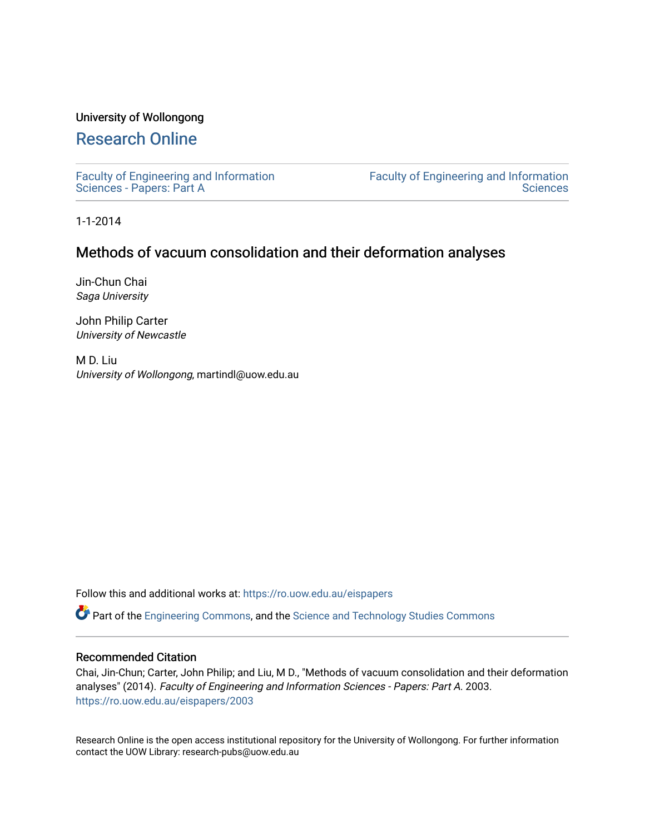## University of Wollongong

# [Research Online](https://ro.uow.edu.au/)

[Faculty of Engineering and Information](https://ro.uow.edu.au/eispapers)  [Sciences - Papers: Part A](https://ro.uow.edu.au/eispapers) 

[Faculty of Engineering and Information](https://ro.uow.edu.au/eis)  **Sciences** 

1-1-2014

# Methods of vacuum consolidation and their deformation analyses

Jin-Chun Chai Saga University

John Philip Carter University of Newcastle

M D. Liu University of Wollongong, martindl@uow.edu.au

Follow this and additional works at: [https://ro.uow.edu.au/eispapers](https://ro.uow.edu.au/eispapers?utm_source=ro.uow.edu.au%2Feispapers%2F2003&utm_medium=PDF&utm_campaign=PDFCoverPages)

Part of the [Engineering Commons](http://network.bepress.com/hgg/discipline/217?utm_source=ro.uow.edu.au%2Feispapers%2F2003&utm_medium=PDF&utm_campaign=PDFCoverPages), and the [Science and Technology Studies Commons](http://network.bepress.com/hgg/discipline/435?utm_source=ro.uow.edu.au%2Feispapers%2F2003&utm_medium=PDF&utm_campaign=PDFCoverPages)

### Recommended Citation

Chai, Jin-Chun; Carter, John Philip; and Liu, M D., "Methods of vacuum consolidation and their deformation analyses" (2014). Faculty of Engineering and Information Sciences - Papers: Part A. 2003. [https://ro.uow.edu.au/eispapers/2003](https://ro.uow.edu.au/eispapers/2003?utm_source=ro.uow.edu.au%2Feispapers%2F2003&utm_medium=PDF&utm_campaign=PDFCoverPages) 

Research Online is the open access institutional repository for the University of Wollongong. For further information contact the UOW Library: research-pubs@uow.edu.au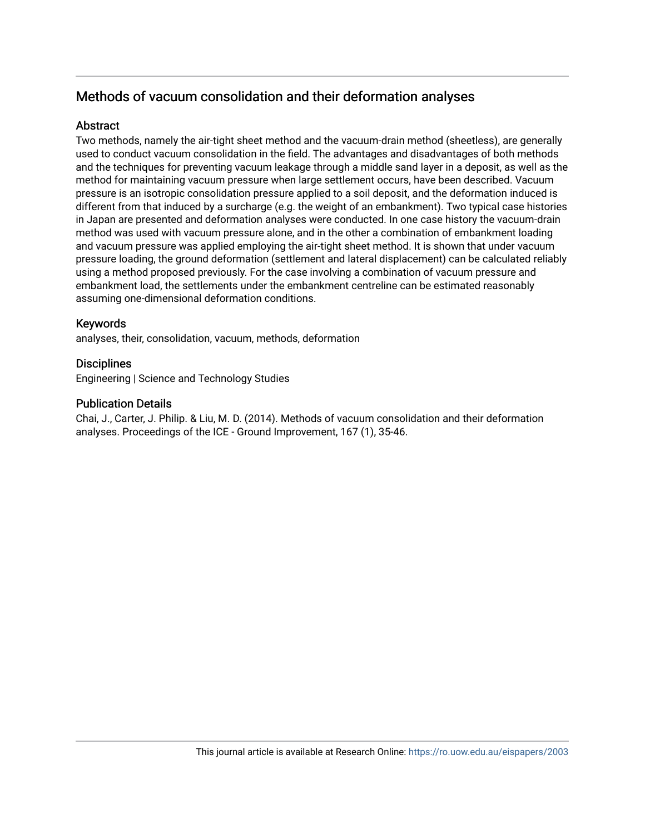# Methods of vacuum consolidation and their deformation analyses

# **Abstract**

Two methods, namely the air-tight sheet method and the vacuum-drain method (sheetless), are generally used to conduct vacuum consolidation in the field. The advantages and disadvantages of both methods and the techniques for preventing vacuum leakage through a middle sand layer in a deposit, as well as the method for maintaining vacuum pressure when large settlement occurs, have been described. Vacuum pressure is an isotropic consolidation pressure applied to a soil deposit, and the deformation induced is different from that induced by a surcharge (e.g. the weight of an embankment). Two typical case histories in Japan are presented and deformation analyses were conducted. In one case history the vacuum-drain method was used with vacuum pressure alone, and in the other a combination of embankment loading and vacuum pressure was applied employing the air-tight sheet method. It is shown that under vacuum pressure loading, the ground deformation (settlement and lateral displacement) can be calculated reliably using a method proposed previously. For the case involving a combination of vacuum pressure and embankment load, the settlements under the embankment centreline can be estimated reasonably assuming one-dimensional deformation conditions.

# Keywords

analyses, their, consolidation, vacuum, methods, deformation

# **Disciplines**

Engineering | Science and Technology Studies

## Publication Details

Chai, J., Carter, J. Philip. & Liu, M. D. (2014). Methods of vacuum consolidation and their deformation analyses. Proceedings of the ICE - Ground Improvement, 167 (1), 35-46.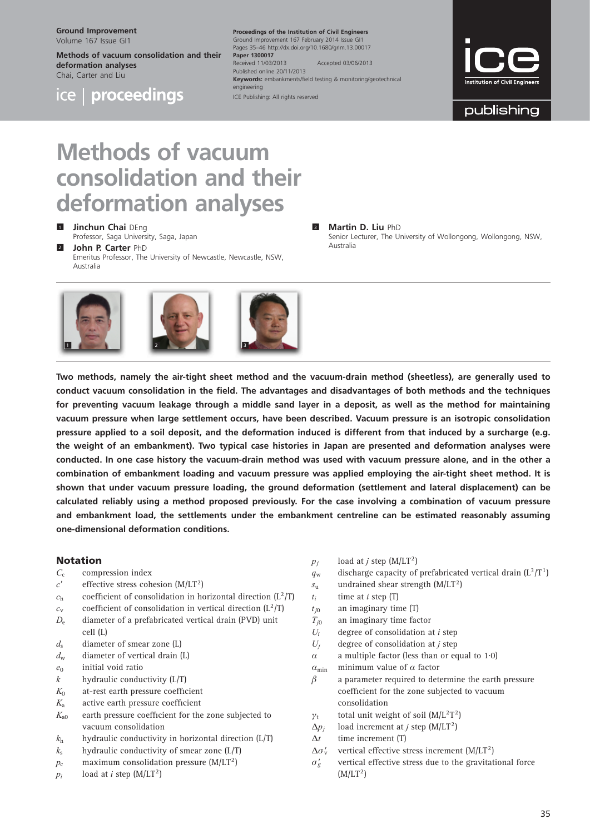# Ground Improvement

Volume 167 Issue GI1

Methods of vacuum consolidation and their deformation analyses Chai, Carter and Liu

proceedings **ICe** 

Proceedings of the Institution of Civil Engineers Ground Improvement 167 February 2014 Issue GI1 Pages 35–46 http://dx.doi.org/10.1680/grim.13.00017 Paper 1300017<br>Received 11/03/2013 Accepted 03/06/2013 Published online 20/11/2013 Keywords: embankments/field testing & monitoring/geotechnical engineering ICE Publishing: All rights reserved



publishing

# Methods of vacuum consolidation and their deformation analyses

#### **1** Jinchun Chai DEng

Professor, Saga University, Saga, Japan

**2** John P. Carter PhD

Emeritus Professor, The University of Newcastle, Newcastle, NSW, Australia







**B** Martin D. Liu PhD Senior Lecturer, The University of Wollongong, Wollongong, NSW, Australia

Two methods, namely the air-tight sheet method and the vacuum-drain method (sheetless), are generally used to conduct vacuum consolidation in the field. The advantages and disadvantages of both methods and the techniques for preventing vacuum leakage through a middle sand layer in a deposit, as well as the method for maintaining vacuum pressure when large settlement occurs, have been described. Vacuum pressure is an isotropic consolidation pressure applied to a soil deposit, and the deformation induced is different from that induced by a surcharge (e.g. the weight of an embankment). Two typical case histories in Japan are presented and deformation analyses were conducted. In one case history the vacuum-drain method was used with vacuum pressure alone, and in the other a combination of embankment loading and vacuum pressure was applied employing the air-tight sheet method. It is shown that under vacuum pressure loading, the ground deformation (settlement and lateral displacement) can be calculated reliably using a method proposed previously. For the case involving a combination of vacuum pressure and embankment load, the settlements under the embankment centreline can be estimated reasonably assuming one-dimensional deformation conditions.

#### Notation

- $C_{c}$  compression index
- $c'$  effective stress cohesion (M/LT<sup>2</sup>)
- $c_h$  coefficient of consolidation in horizontal direction (L<sup>2</sup>/T)
- $c_v$  coefficient of consolidation in vertical direction (L<sup>2</sup>/T)
- $D<sub>e</sub>$  diameter of a prefabricated vertical drain (PVD) unit cell (L)
- $d_s$  diameter of smear zone (L)
- $d_{\rm w}$  diameter of vertical drain (L)
- $e_0$  initial void ratio
- $k$  hydraulic conductivity (L/T)
- $K_0$  at-rest earth pressure coefficient
- $K_a$  active earth pressure coefficient
- $K_{a0}$  earth pressure coefficient for the zone subjected to vacuum consolidation
- $k<sub>h</sub>$  hydraulic conductivity in horizontal direction (L/T)
- $k<sub>s</sub>$  hydraulic conductivity of smear zone (L/T)
- $p_c$  maximum consolidation pressure (M/LT<sup>2</sup>)
- $p_i$  load at *i* step (M/LT<sup>2</sup>)
- $p_i$  load at *j* step (M/LT<sup>2</sup>)
- $q_w$  discharge capacity of prefabricated vertical drain  $(L^3/T^1)$
- $s<sub>u</sub>$  undrained shear strength (M/LT<sup>2</sup>)
- $t_i$  time at *i* step (T)
- $t_{i0}$  an imaginary time (T)
- $T_{j0}$  an imaginary time factor
- $U_i$  degree of consolidation at *i* step
- $U_i$  degree of consolidation at *j* step
- $\alpha$  a multiple factor (less than or equal to 1.0)
- $\alpha_{\rm min}$  minimum value of  $\alpha$  factor
- $\beta$  a parameter required to determine the earth pressure coefficient for the zone subjected to vacuum consolidation
- $\gamma_t$  total unit weight of soil (M/L<sup>2</sup>T<sup>2</sup>)
- $\Delta p_i$  load increment at *j* step (M/LT<sup>2</sup>)
- $\Delta t$  time increment (T)
- $\Delta \sigma_{v}^{\prime}$  vertical effective stress increment (M/LT<sup>2</sup>)
- $\sigma_{g}$  vertical effective stress due to the gravitational force  $(M/LT<sup>2</sup>)$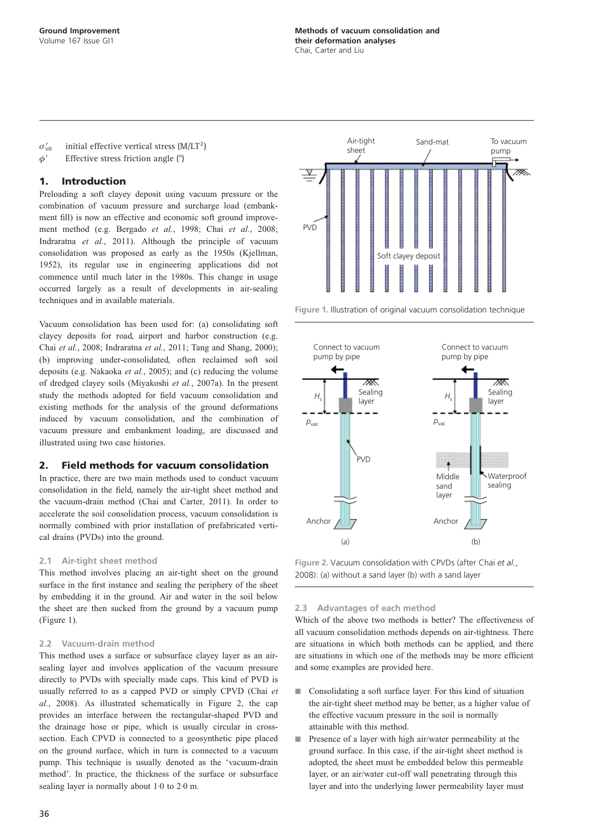<span id="page-3-0"></span> $\sigma'_{\rm v0}$  initial effective vertical stress (M/LT<sup>2</sup>)

```
\phi' Effective stress friction angle (\degree)
```
#### 1. Introduction

Preloading a soft clayey deposit using vacuum pressure or the combination of vacuum pressure and surcharge load (embankment fill) is now an effective and economic soft ground improvement method (e.g. [Bergado](#page-12-0) et al., 1998; Chai et al.[, 2008](#page-13-0); [Indraratna](#page-13-0) et al., 2011). Although the principle of vacuum consolidation was proposed as early as the 1950s ([Kjellman,](#page-13-0) [1952\)](#page-13-0), its regular use in engineering applications did not commence until much later in the 1980s. This change in usage occurred largely as a result of developments in air-sealing techniques and in available materials.

Vacuum consolidation has been used for: (a) consolidating soft clayey deposits for road, airport and harbor construction (e.g. Chai et al.[, 2008](#page-13-0); [Indraratna](#page-13-0) et al., 2011; [Tang and Shang, 2000](#page-13-0)); (b) improving under-consolidated, often reclaimed soft soil deposits (e.g. [Nakaoka](#page-13-0) et al., 2005); and (c) reducing the volume of dredged clayey soils [\(Miyakoshi](#page-13-0) et al., 2007a). In the present study the methods adopted for field vacuum consolidation and existing methods for the analysis of the ground deformations induced by vacuum consolidation, and the combination of vacuum pressure and embankment loading, are discussed and illustrated using two case histories.

#### 2. Field methods for vacuum consolidation

In practice, there are two main methods used to conduct vacuum consolidation in the field, namely the air-tight sheet method and the vacuum-drain method [\(Chai and Carter, 2011\)](#page-12-0). In order to accelerate the soil consolidation process, vacuum consolidation is normally combined with prior installation of prefabricated vertical drains (PVDs) into the ground.

#### 2.1 Air-tight sheet method

This method involves placing an air-tight sheet on the ground surface in the first instance and sealing the periphery of the sheet by embedding it in the ground. Air and water in the soil below the sheet are then sucked from the ground by a vacuum pump (Figure 1).

#### 2.2 Vacuum-drain method

This method uses a surface or subsurface clayey layer as an airsealing layer and involves application of the vacuum pressure directly to PVDs with specially made caps. This kind of PVD is usually referred to as a capped PVD or simply CPVD [\(Chai](#page-13-0) et al.[, 2008\)](#page-13-0). As illustrated schematically in Figure 2, the cap provides an interface between the rectangular-shaped PVD and the drainage hose or pipe, which is usually circular in crosssection. Each CPVD is connected to a geosynthetic pipe placed on the ground surface, which in turn is connected to a vacuum pump. This technique is usually denoted as the 'vacuum-drain method'. In practice, the thickness of the surface or subsurface sealing layer is normally about 1.0 to 2.0 m.



Figure 1. Illustration of original vacuum consolidation technique



Figure 2. Vacuum consolidation with CPVDs (after Chai [et al.](#page-13-0), [2008](#page-13-0)): (a) without a sand layer (b) with a sand layer

#### 2.3 Advantages of each method

Which of the above two methods is better? The effectiveness of all vacuum consolidation methods depends on air-tightness. There are situations in which both methods can be applied, and there are situations in which one of the methods may be more efficient and some examples are provided here.

- Consolidating a soft surface layer. For this kind of situation the air-tight sheet method may be better, as a higher value of the effective vacuum pressure in the soil is normally attainable with this method.
- $\blacksquare$  Presence of a layer with high air/water permeability at the ground surface. In this case, if the air-tight sheet method is adopted, the sheet must be embedded below this permeable layer, or an air/water cut-off wall penetrating through this layer and into the underlying lower permeability layer must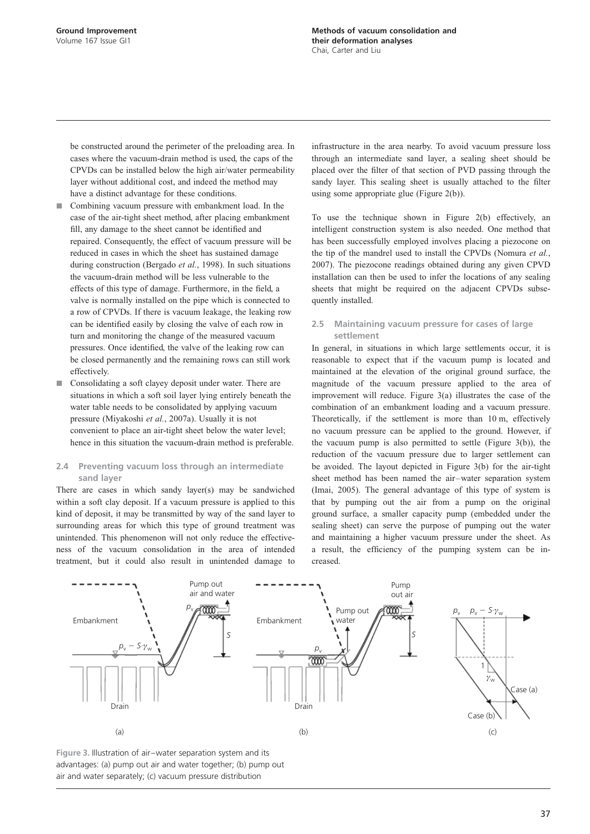be constructed around the perimeter of the preloading area. In cases where the vacuum-drain method is used, the caps of the CPVDs can be installed below the high air/water permeability layer without additional cost, and indeed the method may have a distinct advantage for these conditions.

- $\blacksquare$  Combining vacuum pressure with embankment load. In the case of the air-tight sheet method, after placing embankment fill, any damage to the sheet cannot be identified and repaired. Consequently, the effect of vacuum pressure will be reduced in cases in which the sheet has sustained damage during construction [\(Bergado](#page-12-0) et al., 1998). In such situations the vacuum-drain method will be less vulnerable to the effects of this type of damage. Furthermore, in the field, a valve is normally installed on the pipe which is connected to a row of CPVDs. If there is vacuum leakage, the leaking row can be identified easily by closing the valve of each row in turn and monitoring the change of the measured vacuum pressures. Once identified, the valve of the leaking row can be closed permanently and the remaining rows can still work effectively.
- Consolidating a soft clayey deposit under water. There are situations in which a soft soil layer lying entirely beneath the water table needs to be consolidated by applying vacuum pressure [\(Miyakoshi](#page-13-0) et al., 2007a). Usually it is not convenient to place an air-tight sheet below the water level; hence in this situation the vacuum-drain method is preferable.

#### 2.4 Preventing vacuum loss through an intermediate sand layer

There are cases in which sandy layer(s) may be sandwiched within a soft clay deposit. If a vacuum pressure is applied to this kind of deposit, it may be transmitted by way of the sand layer to surrounding areas for which this type of ground treatment was unintended. This phenomenon will not only reduce the effectiveness of the vacuum consolidation in the area of intended treatment, but it could also result in unintended damage to

infrastructure in the area nearby. To avoid vacuum pressure loss through an intermediate sand layer, a sealing sheet should be placed over the filter of that section of PVD passing through the sandy layer. This sealing sheet is usually attached to the filter using some appropriate glue [\(Figure 2\(b\)](#page-3-0)).

To use the technique shown in [Figure 2\(b\)](#page-3-0) effectively, an intelligent construction system is also needed. One method that has been successfully employed involves placing a piezocone on the tip of the mandrel used to install the CPVDs ([Nomura](#page-13-0) et al., [2007\)](#page-13-0). The piezocone readings obtained during any given CPVD installation can then be used to infer the locations of any sealing sheets that might be required on the adjacent CPVDs subsequently installed.

#### 2.5 Maintaining vacuum pressure for cases of large settlement

In general, in situations in which large settlements occur, it is reasonable to expect that if the vacuum pump is located and maintained at the elevation of the original ground surface, the magnitude of the vacuum pressure applied to the area of improvement will reduce. Figure 3(a) illustrates the case of the combination of an embankment loading and a vacuum pressure. Theoretically, if the settlement is more than 10 m, effectively no vacuum pressure can be applied to the ground. However, if the vacuum pump is also permitted to settle (Figure  $3(b)$ ), the reduction of the vacuum pressure due to larger settlement can be avoided. The layout depicted in Figure 3(b) for the air-tight sheet method has been named the air–water separation system ([Imai, 2005\)](#page-13-0). The general advantage of this type of system is that by pumping out the air from a pump on the original ground surface, a smaller capacity pump (embedded under the sealing sheet) can serve the purpose of pumping out the water and maintaining a higher vacuum pressure under the sheet. As a result, the efficiency of the pumping system can be increased.



Figure 3. Illustration of air–water separation system and its advantages: (a) pump out air and water together; (b) pump out air and water separately; (c) vacuum pressure distribution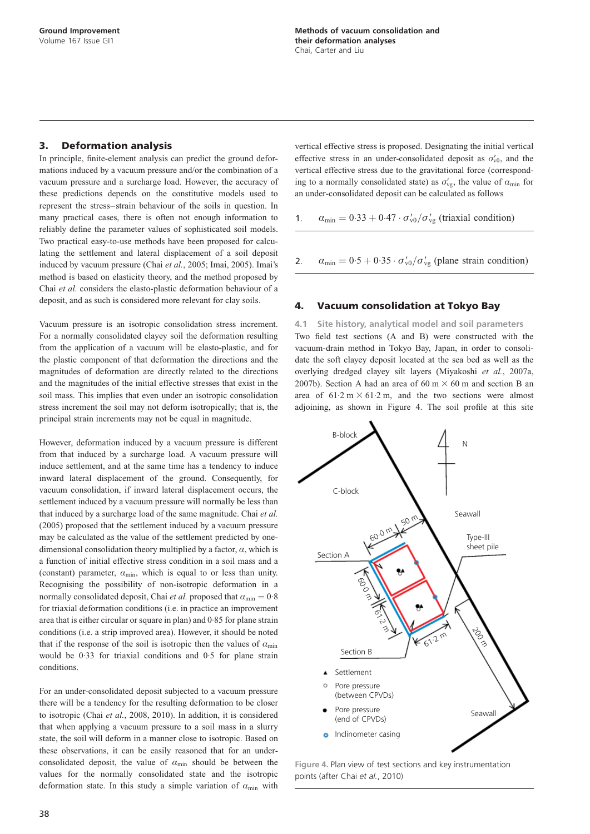#### <span id="page-5-0"></span>3. Deformation analysis

In principle, finite-element analysis can predict the ground deformations induced by a vacuum pressure and/or the combination of a vacuum pressure and a surcharge load. However, the accuracy of these predictions depends on the constitutive models used to represent the stress–strain behaviour of the soils in question. In many practical cases, there is often not enough information to reliably define the parameter values of sophisticated soil models. Two practical easy-to-use methods have been proposed for calculating the settlement and lateral displacement of a soil deposit induced by vacuum pressure (Chai et al.[, 2005](#page-12-0); [Imai, 2005](#page-13-0)). Imai's method is based on elasticity theory, and the method proposed by Chai et al. considers the elasto-plastic deformation behaviour of a deposit, and as such is considered more relevant for clay soils.

Vacuum pressure is an isotropic consolidation stress increment. For a normally consolidated clayey soil the deformation resulting from the application of a vacuum will be elasto-plastic, and for the plastic component of that deformation the directions and the magnitudes of deformation are directly related to the directions and the magnitudes of the initial effective stresses that exist in the soil mass. This implies that even under an isotropic consolidation stress increment the soil may not deform isotropically; that is, the principal strain increments may not be equal in magnitude.

However, deformation induced by a vacuum pressure is different from that induced by a surcharge load. A vacuum pressure will induce settlement, and at the same time has a tendency to induce inward lateral displacement of the ground. Consequently, for vacuum consolidation, if inward lateral displacement occurs, the settlement induced by a vacuum pressure will normally be less than that induced by a surcharge load of the same magnitude. Chai [et al.](#page-12-0) [\(2005\)](#page-12-0) proposed that the settlement induced by a vacuum pressure may be calculated as the value of the settlement predicted by onedimensional consolidation theory multiplied by a factor,  $\alpha$ , which is a function of initial effective stress condition in a soil mass and a (constant) parameter,  $\alpha_{\min}$ , which is equal to or less than unity. Recognising the possibility of non-isotropic deformation in a normally consolidated deposit, Chai *et al.* proposed that  $\alpha_{\min} = 0.8$ for triaxial deformation conditions (i.e. in practice an improvement area that is either circular or square in plan) and 0. 85 for plane strain conditions (i.e. a strip improved area). However, it should be noted that if the response of the soil is isotropic then the values of  $a_{\text{min}}$ would be 0. 33 for triaxial conditions and 0. 5 for plane strain conditions.

For an under-consolidated deposit subjected to a vacuum pressure there will be a tendency for the resulting deformation to be closer to isotropic (Chai et al.[, 2008, 2010\)](#page-13-0). In addition, it is considered that when applying a vacuum pressure to a soil mass in a slurry state, the soil will deform in a manner close to isotropic. Based on these observations, it can be easily reasoned that for an underconsolidated deposit, the value of  $\alpha_{\min}$  should be between the values for the normally consolidated state and the isotropic deformation state. In this study a simple variation of  $\alpha_{\min}$  with

vertical effective stress is proposed. Designating the initial vertical effective stress in an under-consolidated deposit as  $\sigma'_{v0}$ , and the vertical effective stress due to the gravitational force (corresponding to a normally consolidated state) as  $\sigma'_{vg}$ , the value of  $\alpha_{min}$  for an under-consolidated deposit can be calculated as follows

1.  $\alpha_{\text{min}} = 0.33 + 0.47 \cdot \sigma_{\text{v0}}' / \sigma_{\text{vg}}'$  (triaxial condition)

2.  $\alpha_{\text{min}} = 0.5 + 0.35 \cdot \sigma_{\text{v0}}' / \sigma_{\text{vg}}'$  (plane strain condition)

#### 4. Vacuum consolidation at Tokyo Bay

4.1 Site history, analytical model and soil parameters Two field test sections (A and B) were constructed with the vacuum-drain method in Tokyo Bay, Japan, in order to consolidate the soft clayey deposit located at the sea bed as well as the overlying dredged clayey silt layers [\(Miyakoshi](#page-13-0) et al., 2007a, [2007b](#page-13-0)). Section A had an area of 60 m  $\times$  60 m and section B an area of  $61.2 \text{ m} \times 61.2 \text{ m}$ , and the two sections were almost adjoining, as shown in Figure 4. The soil profile at this site



Figure 4. Plan view of test sections and key instrumentation points (after Chai et al.[, 2010\)](#page-13-0)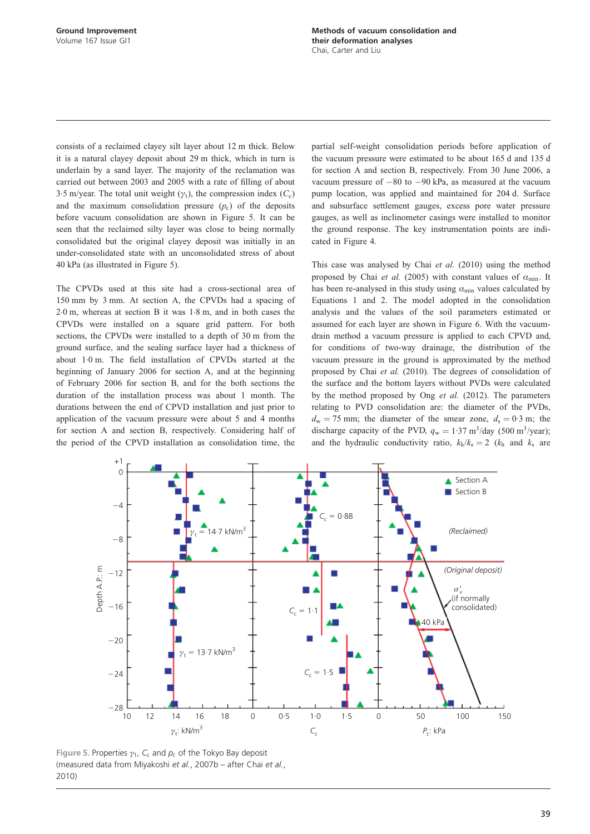consists of a reclaimed clayey silt layer about 12 m thick. Below it is a natural clayey deposit about 29 m thick, which in turn is underlain by a sand layer. The majority of the reclamation was carried out between 2003 and 2005 with a rate of filling of about 3.5 m/year. The total unit weight  $(\gamma_t)$ , the compression index  $(C_c)$ and the maximum consolidation pressure  $(p<sub>c</sub>)$  of the deposits before vacuum consolidation are shown in Figure 5. It can be seen that the reclaimed silty layer was close to being normally consolidated but the original clayey deposit was initially in an under-consolidated state with an unconsolidated stress of about 40 kPa (as illustrated in Figure 5).

The CPVDs used at this site had a cross-sectional area of 150 mm by 3 mm. At section A, the CPVDs had a spacing of 2.0 m, whereas at section B it was 1.8 m, and in both cases the CPVDs were installed on a square grid pattern. For both sections, the CPVDs were installed to a depth of 30 m from the ground surface, and the sealing surface layer had a thickness of about 1.0 m. The field installation of CPVDs started at the beginning of January 2006 for section A, and at the beginning of February 2006 for section B, and for the both sections the duration of the installation process was about 1 month. The durations between the end of CPVD installation and just prior to application of the vacuum pressure were about 5 and 4 months for section A and section B, respectively. Considering half of the period of the CPVD installation as consolidation time, the

partial self-weight consolidation periods before application of the vacuum pressure were estimated to be about 165 d and 135 d for section A and section B, respectively. From 30 June 2006, a vacuum pressure of  $-80$  to  $-90$  kPa, as measured at the vacuum pump location, was applied and maintained for 204 d. Surface and subsurface settlement gauges, excess pore water pressure gauges, as well as inclinometer casings were installed to monitor the ground response. The key instrumentation points are indicated in [Figure 4.](#page-5-0)

This case was analysed by Chai et al. [\(2010\)](#page-13-0) using the method proposed by Chai et al. [\(2005](#page-12-0)) with constant values of  $\alpha_{\min}$ . It has been re-analysed in this study using  $a_{\min}$  values calculated by [Equations 1](#page-5-0) and [2.](#page-5-0) The model adopted in the consolidation analysis and the values of the soil parameters estimated or assumed for each layer are shown in [Figure 6](#page-7-0). With the vacuumdrain method a vacuum pressure is applied to each CPVD and, for conditions of two-way drainage, the distribution of the vacuum pressure in the ground is approximated by the method proposed by Chai et al. [\(2010\)](#page-13-0). The degrees of consolidation of the surface and the bottom layers without PVDs were calculated by the method proposed by Ong et al. [\(2012\)](#page-13-0). The parameters relating to PVD consolidation are: the diameter of the PVDs,  $d_{\rm w} = 75$  mm; the diameter of the smear zone,  $d_{\rm s} = 0.3$  m; the discharge capacity of the PVD,  $q_w = 1.37 \text{ m}^3/\text{day}$  (500 m<sup>3</sup>/year); and the hydraulic conductivity ratio,  $k_h/k_s = 2$  ( $k_h$  and  $k_s$  are



Figure 5. Properties  $\gamma_t$ , C<sub>c</sub> and  $p_c$  of the Tokyo Bay deposit (measured data from [Miyakoshi](#page-13-0) et al., 2007b – after Chai [et al.](#page-13-0), [2010](#page-13-0))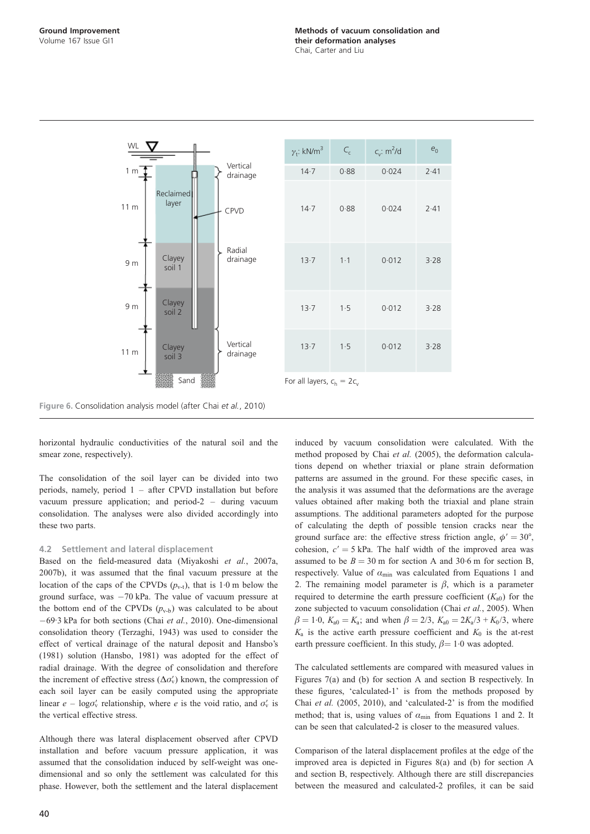<span id="page-7-0"></span>

Figure 6. Consolidation analysis model (after Chai et al.[, 2010](#page-13-0))

horizontal hydraulic conductivities of the natural soil and the smear zone, respectively).

The consolidation of the soil layer can be divided into two periods, namely, period 1 – after CPVD installation but before vacuum pressure application; and period-2 – during vacuum consolidation. The analyses were also divided accordingly into these two parts.

#### 4.2 Settlement and lateral displacement

Based on the field-measured data [\(Miyakoshi](#page-13-0) et al., 2007a, [2007b](#page-13-0)), it was assumed that the final vacuum pressure at the location of the caps of the CPVDs  $(p_{v-t})$ , that is 1.0 m below the ground surface, was  $-70$  kPa. The value of vacuum pressure at the bottom end of the CPVDs  $(p_{v-h})$  was calculated to be about -69.3 kPa for both sections (Chai et al.[, 2010](#page-13-0)). One-dimensional consolidation theory ([Terzaghi, 1943](#page-13-0)) was used to consider the effect of vertical drainage of the natural deposit and Hansbo's (1981) solution [\(Hansbo, 1981](#page-13-0)) was adopted for the effect of radial drainage. With the degree of consolidation and therefore the increment of effective stress ( $\Delta \sigma'_{v}$ ) known, the compression of each soil layer can be easily computed using the appropriate linear  $e - \log \sigma_{v}$  relationship, where e is the void ratio, and  $\sigma_{v}$  is the vertical effective stress.

Although there was lateral displacement observed after CPVD installation and before vacuum pressure application, it was assumed that the consolidation induced by self-weight was onedimensional and so only the settlement was calculated for this phase. However, both the settlement and the lateral displacement

induced by vacuum consolidation were calculated. With the method proposed by Chai et al. [\(2005\)](#page-12-0), the deformation calculations depend on whether triaxial or plane strain deformation patterns are assumed in the ground. For these specific cases, in the analysis it was assumed that the deformations are the average values obtained after making both the triaxial and plane strain assumptions. The additional parameters adopted for the purpose of calculating the depth of possible tension cracks near the ground surface are: the effective stress friction angle,  $\phi' = 30^{\circ}$ , cohesion,  $c' = 5$  kPa. The half width of the improved area was assumed to be  $B = 30$  m for section A and 30.6 m for section B, respectively. Value of  $\alpha_{\min}$  was calculated from [Equations 1](#page-5-0) and [2](#page-5-0). The remaining model parameter is  $\beta$ , which is a parameter required to determine the earth pressure coefficient  $(K_{a0})$  for the zone subjected to vacuum consolidation (Chai et al.[, 2005](#page-12-0)). When  $\beta = 1.0$ ,  $K_{a0} = K_a$ ; and when  $\beta = 2/3$ ,  $K_{a0} = 2K_a/3 + K_0/3$ , where  $K_a$  is the active earth pressure coefficient and  $K_0$  is the at-rest earth pressure coefficient. In this study,  $\beta = 1.0$  was adopted.

The calculated settlements are compared with measured values in [Figures 7\(a\) and \(b\)](#page-8-0) for section A and section B respectively. In these figures, 'calculated-1' is from the methods proposed by Chai et al. [\(2005](#page-12-0), [2010](#page-13-0)), and 'calculated-2' is from the modified method; that is, using values of  $\alpha_{\min}$  from [Equations 1](#page-5-0) and [2](#page-5-0). It can be seen that calculated-2 is closer to the measured values.

Comparison of the lateral displacement profiles at the edge of the improved area is depicted in [Figures 8\(a\) and \(b\)](#page-9-0) for section A and section B, respectively. Although there are still discrepancies between the measured and calculated-2 profiles, it can be said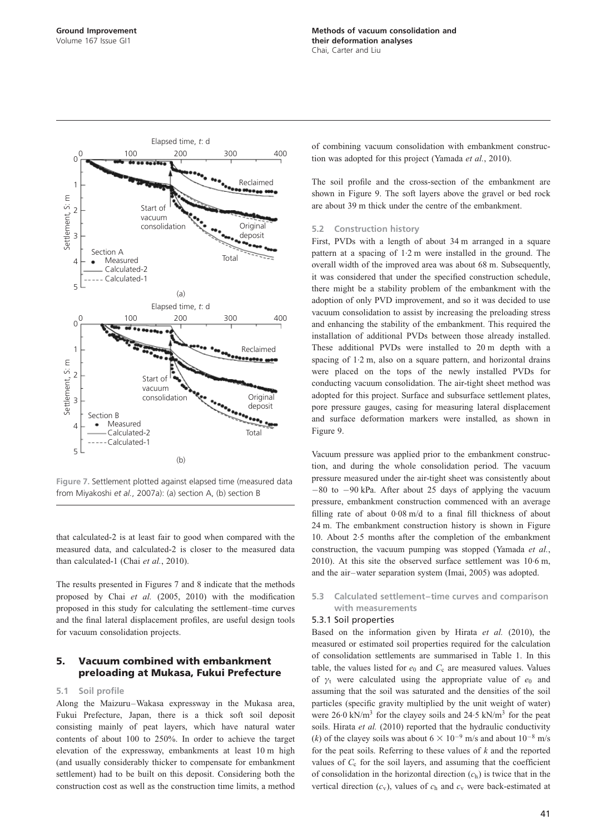<span id="page-8-0"></span>![](_page_8_Figure_2.jpeg)

Figure 7. Settlement plotted against elapsed time (measured data from [Miyakoshi](#page-13-0) et al., 2007a): (a) section A, (b) section B

that calculated-2 is at least fair to good when compared with the measured data, and calculated-2 is closer to the measured data than calculated-1 (Chai et al.[, 2010\)](#page-13-0).

The results presented in Figures 7 and [8](#page-9-0) indicate that the methods proposed by Chai [et al.](#page-12-0) (2005, [2010\)](#page-13-0) with the modification proposed in this study for calculating the settlement–time curves and the final lateral displacement profiles, are useful design tools for vacuum consolidation projects.

#### 5. Vacuum combined with embankment preloading at Mukasa, Fukui Prefecture

#### 5.1 Soil profile

Along the Maizuru–Wakasa expressway in the Mukasa area, Fukui Prefecture, Japan, there is a thick soft soil deposit consisting mainly of peat layers, which have natural water contents of about 100 to 250%. In order to achieve the target elevation of the expressway, embankments at least 10 m high (and usually considerably thicker to compensate for embankment settlement) had to be built on this deposit. Considering both the construction cost as well as the construction time limits, a method of combining vacuum consolidation with embankment construction was adopted for this project ([Yamada](#page-13-0) et al., 2010).

The soil profile and the cross-section of the embankment are shown in [Figure 9.](#page-9-0) The soft layers above the gravel or bed rock are about 39 m thick under the centre of the embankment.

#### 5.2 Construction history

First, PVDs with a length of about 34 m arranged in a square pattern at a spacing of 1. 2 m were installed in the ground. The overall width of the improved area was about 68 m. Subsequently, it was considered that under the specified construction schedule, there might be a stability problem of the embankment with the adoption of only PVD improvement, and so it was decided to use vacuum consolidation to assist by increasing the preloading stress and enhancing the stability of the embankment. This required the installation of additional PVDs between those already installed. These additional PVDs were installed to 20 m depth with a spacing of 1.2 m, also on a square pattern, and horizontal drains were placed on the tops of the newly installed PVDs for conducting vacuum consolidation. The air-tight sheet method was adopted for this project. Surface and subsurface settlement plates, pore pressure gauges, casing for measuring lateral displacement and surface deformation markers were installed, as shown in [Figure 9](#page-9-0).

Vacuum pressure was applied prior to the embankment construction, and during the whole consolidation period. The vacuum pressure measured under the air-tight sheet was consistently about  $-80$  to  $-90$  kPa. After about 25 days of applying the vacuum pressure, embankment construction commenced with an average filling rate of about 0.08 m/d to a final fill thickness of about 24 m. The embankment construction history is shown in [Figure](#page-10-0) [10.](#page-10-0) About 2.5 months after the completion of the embankment construction, the vacuum pumping was stopped ([Yamada](#page-13-0) et al., [2010\)](#page-13-0). At this site the observed surface settlement was 10. 6 m, and the air–water separation system [\(Imai, 2005\)](#page-13-0) was adopted.

#### 5.3 Calculated settlement–time curves and comparison with measurements

#### 5.3.1 Soil properties

Based on the information given by [Hirata](#page-13-0) et al. (2010), the measured or estimated soil properties required for the calculation of consolidation settlements are summarised in [Table 1.](#page-10-0) In this table, the values listed for  $e_0$  and  $C_c$  are measured values. Values of  $\gamma_t$  were calculated using the appropriate value of  $e_0$  and assuming that the soil was saturated and the densities of the soil particles (specific gravity multiplied by the unit weight of water) were  $26.0 \text{ kN/m}^3$  for the clayey soils and  $24.5 \text{ kN/m}^3$  for the peat soils. [Hirata](#page-13-0) et al. (2010) reported that the hydraulic conductivity (k) of the clayey soils was about  $6 \times 10^{-9}$  m/s and about  $10^{-8}$  m/s for the peat soils. Referring to these values of  $k$  and the reported values of  $C_c$  for the soil layers, and assuming that the coefficient of consolidation in the horizontal direction  $(c<sub>h</sub>)$  is twice that in the vertical direction  $(c_v)$ , values of  $c_h$  and  $c_v$  were back-estimated at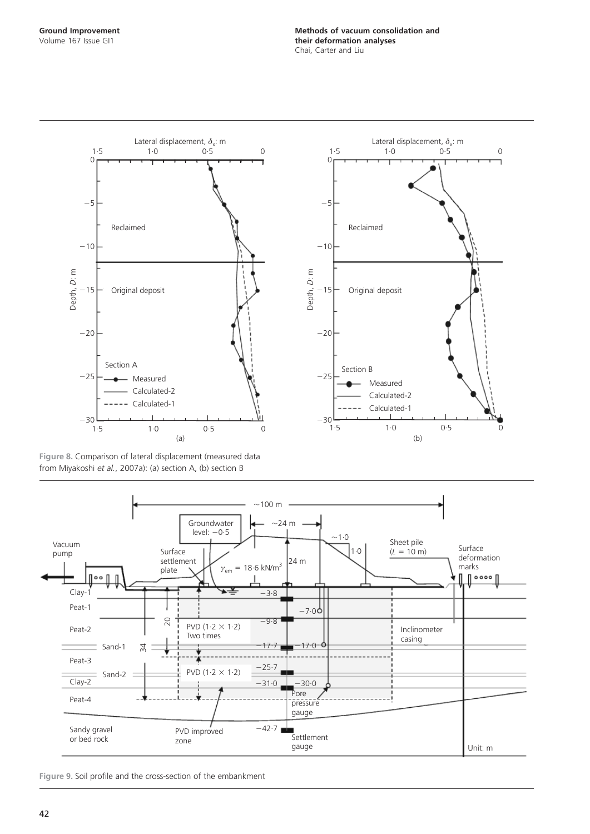<span id="page-9-0"></span>![](_page_9_Figure_2.jpeg)

Figure 8. Comparison of lateral displacement (measured data from [Miyakoshi](#page-13-0) et al., 2007a): (a) section A, (b) section B

![](_page_9_Figure_4.jpeg)

Figure 9. Soil profile and the cross-section of the embankment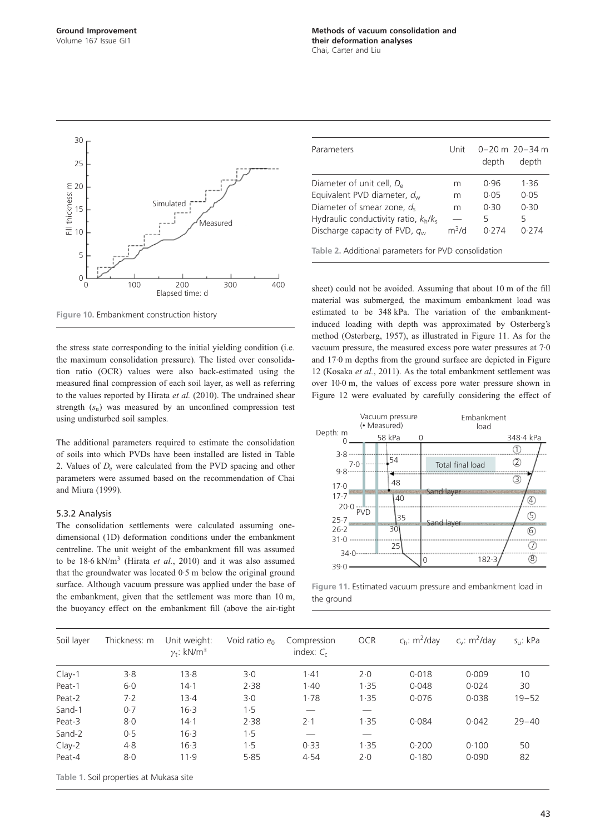<span id="page-10-0"></span>![](_page_10_Figure_2.jpeg)

Figure 10. Embankment construction history

the stress state corresponding to the initial yielding condition (i.e. the maximum consolidation pressure). The listed over consolidation ratio (OCR) values were also back-estimated using the measured final compression of each soil layer, as well as referring to the values reported by [Hirata](#page-13-0) et al.  $(2010)$ . The undrained shear strength  $(s<sub>u</sub>)$  was measured by an unconfined compression test using undisturbed soil samples.

The additional parameters required to estimate the consolidation of soils into which PVDs have been installed are listed in Table 2. Values of  $D<sub>e</sub>$  were calculated from the PVD spacing and other parameters were assumed based on the recommendation of [Chai](#page-12-0) [and Miura \(1999\)](#page-12-0).

#### 5.3.2 Analysis

The consolidation settlements were calculated assuming onedimensional (1D) deformation conditions under the embankment centreline. The unit weight of the embankment fill was assumed to be  $18.6 \text{ kN/m}^3$  (Hirata *et al.*[, 2010](#page-13-0)) and it was also assumed that the groundwater was located 0. 5 m below the original ground surface. Although vacuum pressure was applied under the base of the embankment, given that the settlement was more than 10 m, the buoyancy effect on the embankment fill (above the air-tight

| Parameters                                           | Unit              | depth | $0 - 20$ m $20 - 34$ m<br>depth |  |  |  |  |  |
|------------------------------------------------------|-------------------|-------|---------------------------------|--|--|--|--|--|
| Diameter of unit cell, $D_{\rm e}$                   | m                 | 0.96  | 1.36                            |  |  |  |  |  |
| Equivalent PVD diameter, $d_w$                       | m                 | 0.05  | 0.05                            |  |  |  |  |  |
| Diameter of smear zone, $d_s$                        | m                 | 0.30  | 0.30                            |  |  |  |  |  |
| Hydraulic conductivity ratio, $k_h/k_s$              |                   | 5     | 5                               |  |  |  |  |  |
| Discharge capacity of PVD, $q_w$                     | m <sup>3</sup> /d | 0.274 | 0.274                           |  |  |  |  |  |
| Table 2. Additional parameters for PVD consolidation |                   |       |                                 |  |  |  |  |  |

sheet) could not be avoided. Assuming that about 10 m of the fill material was submerged, the maximum embankment load was estimated to be 348 kPa. The variation of the embankmentinduced loading with depth was approximated by Osterberg's method [\(Osterberg, 1957\)](#page-13-0), as illustrated in Figure 11. As for the vacuum pressure, the measured excess pore water pressures at 7.0 and 17. 0 m depths from the ground surface are depicted in [Figure](#page-11-0) [12](#page-11-0) [\(Kosaka](#page-13-0) et al., 2011). As the total embankment settlement was over 10. 0 m, the values of excess pore water pressure shown in [Figure 12](#page-11-0) were evaluated by carefully considering the effect of

![](_page_10_Figure_10.jpeg)

Figure 11. Estimated vacuum pressure and embankment load in the ground

| Soil layer | Thickness: m                            | Unit weight:<br>$\gamma_1$ : kN/m <sup>3</sup> | Void ratio $e_0$ | Compression<br>index: $C_c$ | <b>OCR</b> | $ch$ : m <sup>2</sup> /day | $c_v$ : m <sup>2</sup> /day | $s_{\rm u}$ : kPa |
|------------|-----------------------------------------|------------------------------------------------|------------------|-----------------------------|------------|----------------------------|-----------------------------|-------------------|
| $Clay-1$   | 3.8                                     | 13.8                                           | 3·0              | 1.41                        | 2.0        | 0.018                      | 0.009                       | 10                |
| Peat-1     | 6·0                                     | $14 - 1$                                       | 2.38             | 1.40                        | 1.35       | 0.048                      | 0.024                       | 30                |
| Peat-2     | 7.2                                     | 13.4                                           | 3·0              | 1.78                        | 1.35       | 0.076                      | 0.038                       | $19 - 52$         |
| Sand-1     | 0.7                                     | 16.3                                           | 1.5              |                             |            |                            |                             |                   |
| Peat-3     | 8.0                                     | 14.1                                           | 2.38             | 2.1                         | 1.35       | 0.084                      | 0.042                       | $29 - 40$         |
| Sand-2     | 0.5                                     | 16.3                                           | 1.5              |                             |            |                            |                             |                   |
| $Clay-2$   | 4.8                                     | 16.3                                           | 1.5              | 0.33                        | 1.35       | 0.200                      | 0.100                       | 50                |
| Peat-4     | 8·0                                     | 11.9                                           | 5.85             | 4.54                        | 2.0        | 0.180                      | 0.090                       | 82                |
|            | Table 1. Soil properties at Mukasa site |                                                |                  |                             |            |                            |                             |                   |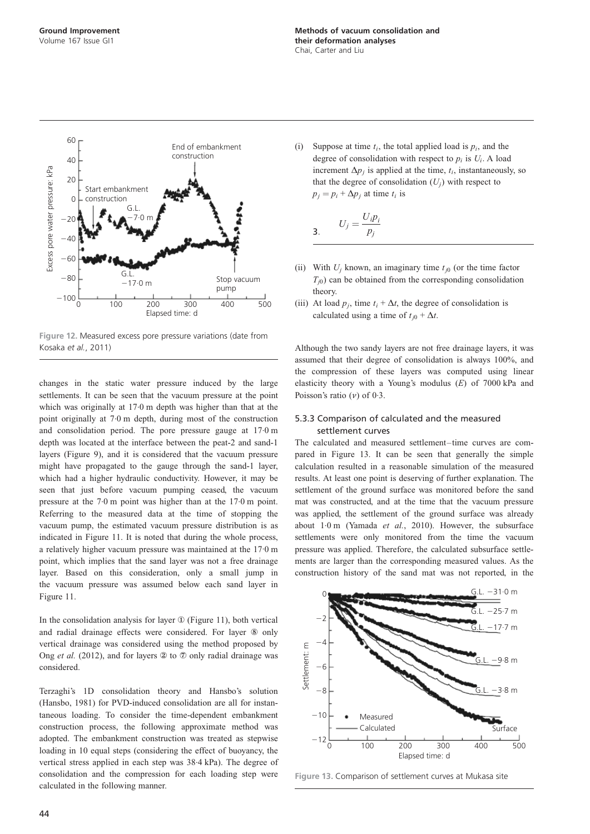<span id="page-11-0"></span>![](_page_11_Figure_2.jpeg)

Figure 12. Measured excess pore pressure variations (date from [Kosaka](#page-13-0) et al., 2011)

changes in the static water pressure induced by the large settlements. It can be seen that the vacuum pressure at the point which was originally at 17.0 m depth was higher than that at the point originally at 7. 0 m depth, during most of the construction and consolidation period. The pore pressure gauge at 17. 0 m depth was located at the interface between the peat-2 and sand-1 layers ([Figure 9](#page-9-0)), and it is considered that the vacuum pressure might have propagated to the gauge through the sand-1 layer, which had a higher hydraulic conductivity. However, it may be seen that just before vacuum pumping ceased, the vacuum pressure at the 7. 0 m point was higher than at the 17.0 m point. Referring to the measured data at the time of stopping the vacuum pump, the estimated vacuum pressure distribution is as indicated in [Figure 11.](#page-10-0) It is noted that during the whole process, a relatively higher vacuum pressure was maintained at the 17.0 m point, which implies that the sand layer was not a free drainage layer. Based on this consideration, only a small jump in the vacuum pressure was assumed below each sand layer in [Figure 11.](#page-10-0)

In the consolidation analysis for layer  $\Phi$  [\(Figure 11](#page-10-0)), both vertical and radial drainage effects were considered. For layer ® only vertical drainage was considered using the method proposed by Ong et al. [\(2012](#page-13-0)), and for layers  $\circledast$  to  $\circledast$  only radial drainage was considered.

Terzaghi's 1D consolidation theory and Hansbo's solution ([Hansbo, 1981](#page-13-0)) for PVD-induced consolidation are all for instantaneous loading. To consider the time-dependent embankment construction process, the following approximate method was adopted. The embankment construction was treated as stepwise loading in 10 equal steps (considering the effect of buoyancy, the vertical stress applied in each step was 38.4 kPa). The degree of consolidation and the compression for each loading step were calculated in the following manner.

(i) Suppose at time  $t_i$ , the total applied load is  $p_i$ , and the degree of consolidation with respect to  $p_i$  is  $U_i$ . A load increment  $\Delta p_i$  is applied at the time,  $t_i$ , instantaneously, so that the degree of consolidation  $(U_i)$  with respect to  $p_i = p_i + \Delta p_i$  at time  $t_i$  is

$$
U_j = \frac{U_i p_i}{p_j}
$$

- (ii) With  $U_i$  known, an imaginary time  $t_{i0}$  (or the time factor  $T_{i0}$ ) can be obtained from the corresponding consolidation theory.
- (iii) At load  $p_i$ , time  $t_i + \Delta t$ , the degree of consolidation is calculated using a time of  $t_{i0} + \Delta t$ .

Although the two sandy layers are not free drainage layers, it was assumed that their degree of consolidation is always 100%, and the compression of these layers was computed using linear elasticity theory with a Young's modulus  $(E)$  of 7000 kPa and Poisson's ratio  $(v)$  of 0.3.

#### 5.3.3 Comparison of calculated and the measured settlement curves

The calculated and measured settlement–time curves are compared in Figure 13. It can be seen that generally the simple calculation resulted in a reasonable simulation of the measured results. At least one point is deserving of further explanation. The settlement of the ground surface was monitored before the sand mat was constructed, and at the time that the vacuum pressure was applied, the settlement of the ground surface was already about  $1.0 \text{ m}$  [\(Yamada](#page-13-0) et al., 2010). However, the subsurface settlements were only monitored from the time the vacuum pressure was applied. Therefore, the calculated subsurface settlements are larger than the corresponding measured values. As the construction history of the sand mat was not reported, in the

![](_page_11_Figure_14.jpeg)

Figure 13. Comparison of settlement curves at Mukasa site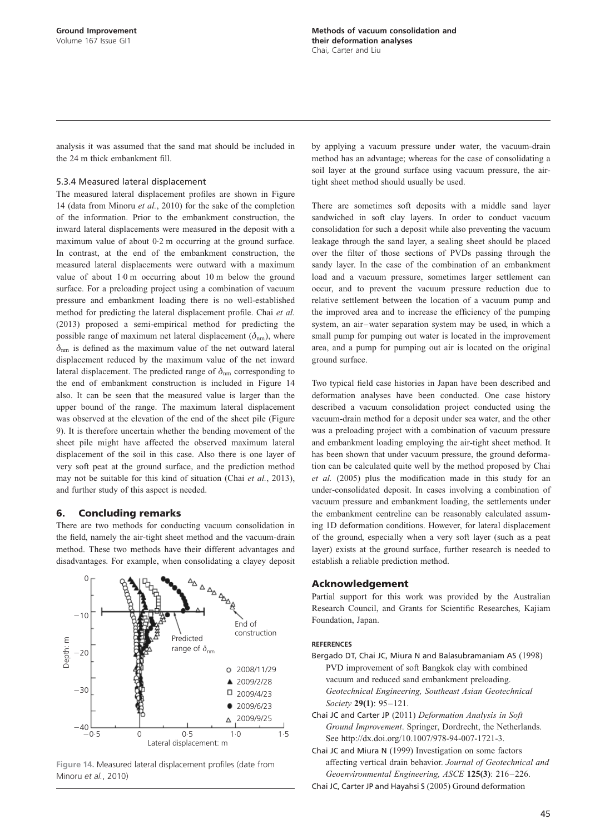<span id="page-12-0"></span>analysis it was assumed that the sand mat should be included in the 24 m thick embankment fill.

#### 5.3.4 Measured lateral displacement

The measured lateral displacement profiles are shown in Figure 14 (data from [Minoru](#page-13-0) et al., 2010) for the sake of the completion of the information. Prior to the embankment construction, the inward lateral displacements were measured in the deposit with a maximum value of about 0. 2 m occurring at the ground surface. In contrast, at the end of the embankment construction, the measured lateral displacements were outward with a maximum value of about 1.0 m occurring about 10 m below the ground surface. For a preloading project using a combination of vacuum pressure and embankment loading there is no well-established method for predicting the lateral displacement profile. Chai [et al.](#page-13-0) [\(2013\)](#page-13-0) proposed a semi-empirical method for predicting the possible range of maximum net lateral displacement ( $\delta_{nm}$ ), where  $\delta_{nm}$  is defined as the maximum value of the net outward lateral displacement reduced by the maximum value of the net inward lateral displacement. The predicted range of  $\delta_{nm}$  corresponding to the end of embankment construction is included in Figure 14 also. It can be seen that the measured value is larger than the upper bound of the range. The maximum lateral displacement was observed at the elevation of the end of the sheet pile [\(Figure](#page-9-0) [9](#page-9-0)). It is therefore uncertain whether the bending movement of the sheet pile might have affected the observed maximum lateral displacement of the soil in this case. Also there is one layer of very soft peat at the ground surface, and the prediction method may not be suitable for this kind of situation (Chai et al.[, 2013](#page-13-0)), and further study of this aspect is needed.

#### 6. Concluding remarks

There are two methods for conducting vacuum consolidation in the field, namely the air-tight sheet method and the vacuum-drain method. These two methods have their different advantages and disadvantages. For example, when consolidating a clayey deposit

![](_page_12_Figure_7.jpeg)

Figure 14. Measured lateral displacement profiles (date from [Minoru](#page-13-0) et al., 2010)

by applying a vacuum pressure under water, the vacuum-drain method has an advantage; whereas for the case of consolidating a soil layer at the ground surface using vacuum pressure, the airtight sheet method should usually be used.

There are sometimes soft deposits with a middle sand layer sandwiched in soft clay layers. In order to conduct vacuum consolidation for such a deposit while also preventing the vacuum leakage through the sand layer, a sealing sheet should be placed over the filter of those sections of PVDs passing through the sandy layer. In the case of the combination of an embankment load and a vacuum pressure, sometimes larger settlement can occur, and to prevent the vacuum pressure reduction due to relative settlement between the location of a vacuum pump and the improved area and to increase the efficiency of the pumping system, an air–water separation system may be used, in which a small pump for pumping out water is located in the improvement area, and a pump for pumping out air is located on the original ground surface.

Two typical field case histories in Japan have been described and deformation analyses have been conducted. One case history described a vacuum consolidation project conducted using the vacuum-drain method for a deposit under sea water, and the other was a preloading project with a combination of vacuum pressure and embankment loading employing the air-tight sheet method. It has been shown that under vacuum pressure, the ground deformation can be calculated quite well by the method proposed by Chai et al. (2005) plus the modification made in this study for an under-consolidated deposit. In cases involving a combination of vacuum pressure and embankment loading, the settlements under the embankment centreline can be reasonably calculated assuming 1D deformation conditions. However, for lateral displacement of the ground, especially when a very soft layer (such as a peat layer) exists at the ground surface, further research is needed to establish a reliable prediction method.

#### Acknowledgement

Partial support for this work was provided by the Australian Research Council, and Grants for Scientific Researches, Kajiam Foundation, Japan.

#### **REFERENCES**

- Bergado DT, Chai JC, Miura N and Balasubramaniam AS (1998) PVD improvement of soft Bangkok clay with combined vacuum and reduced sand embankment preloading. Geotechnical Engineering, Southeast Asian Geotechnical Society 29(1): 95–121.
- Chai JC and Carter JP (2011) Deformation Analysis in Soft Ground Improvement. Springer, Dordrecht, the Netherlands. See<http://dx.doi.org/10.1007/978-94-007-1721-3>.
- Chai JC and Miura N (1999) Investigation on some factors affecting vertical drain behavior. Journal of Geotechnical and Geoenvironmental Engineering, ASCE 125(3): 216–226. Chai JC, Carter JP and Hayahsi S (2005) Ground deformation
	-